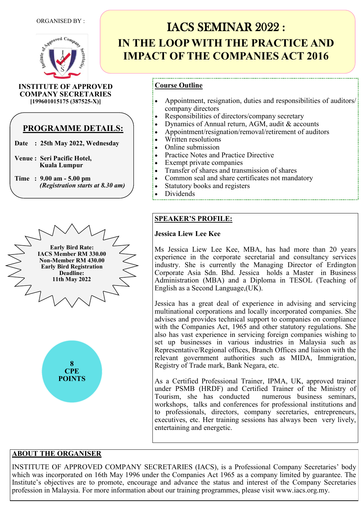

**INSTITUTE OF APPROVED COMPANY SECRETARIES [199601015175 (387525-X)]**

## **PROGRAMME DETAILS:**

- **Date : 25th May 2022, Wednesday**
- **Venue : Seri Pacific Hotel, Kuala Lumpur**
- **Time : 9.00 am - 5.00 pm**  *(Registration starts at 8.30 am)*



# IACS SEMINAR 2022 : **IN THE LOOP WITH THE PRACTICE AND IMPACT OF THE COMPANIES ACT 2016**

## **Course Outline**

- Appointment, resignation, duties and responsibilities of auditors/ company directors
- Responsibilities of directors/company secretary
- Dynamics of Annual return, AGM, audit & accounts
- Appointment/resignation/removal/retirement of auditors
- Written resolutions
- Online submission
- Practice Notes and Practice Directive
- Exempt private companies
- Transfer of shares and transmission of shares
- Common seal and share certificates not mandatory
- Statutory books and registers
- Dividends

## **SPEAKER'S PROFILE:**

### **Jessica Liew Lee Kee**

Ms Jessica Liew Lee Kee, MBA, has had more than 20 years experience in the corporate secretarial and consultancy services industry. She is currently the Managing Director of Erdington Corporate Asia Sdn. Bhd. Jessica holds a Master in Business Administration (MBA) and a Diploma in TESOL (Teaching of English as a Second Language,(UK).

Jessica has a great deal of experience in advising and servicing multinational corporations and locally incorporated companies. She advises and provides technical support to companies on compliance with the Companies Act, 1965 and other statutory regulations. She also has vast experience in servicing foreign companies wishing to set up businesses in various industries in Malaysia such as Representative/Regional offices, Branch Offices and liaison with the relevant government authorities such as MIDA, Immigration, Registry of Trade mark, Bank Negara, etc.

As a Certified Professional Trainer, IPMA, UK, approved trainer under PSMB (HRDF) and Certified Trainer of the Ministry of Tourism, she has conducted workshops, talks and conferences for professional institutions and to professionals, directors, company secretaries, entrepreneurs, executives, etc. Her training sessions has always been very lively, entertaining and energetic.

## **ABOUT THE ORGANISER**

INSTITUTE OF APPROVED COMPANY SECRETARIES (IACS), is a Professional Company Secretaries' body which was incorporated on 16th May 1996 under the Companies Act 1965 as a company limited by guarantee. The Institute's objectives are to promote, encourage and advance the status and interest of the Company Secretaries profession in Malaysia. For more information about our training programmes, please visit www.iacs.org.my.